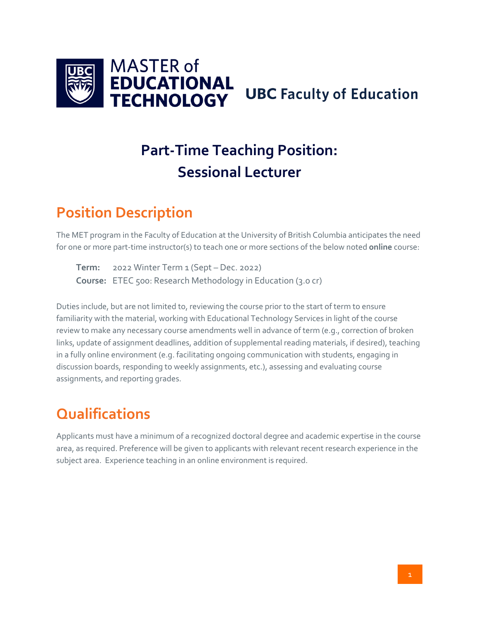

# **Part-Time Teaching Position: Sessional Lecturer**

#### **Position Description**

The MET program in the Faculty of Education at the University of British Columbia anticipates the need for one or more part-time instructor(s) to teach one or more sections of the below noted **online** course:

**Term:** 2022 Winter Term 1 (Sept – Dec. 2022) **Course:** ETEC 500: Research Methodology in Education (3.0 cr)

Duties include, but are not limited to, reviewing the course prior to the start of term to ensure familiarity with the material, working with Educational Technology Services in light of the course review to make any necessary course amendments well in advance of term (e.g., correction of broken links, update of assignment deadlines, addition of supplemental reading materials, if desired), teaching in a fully online environment (e.g. facilitating ongoing communication with students, engaging in discussion boards, responding to weekly assignments, etc.), assessing and evaluating course assignments, and reporting grades.

### **Qualifications**

Applicants must have a minimum of a recognized doctoral degree and academic expertise in the course area, as required. Preference will be given to applicants with relevant recent research experience in the subject area. Experience teaching in an online environment is required.